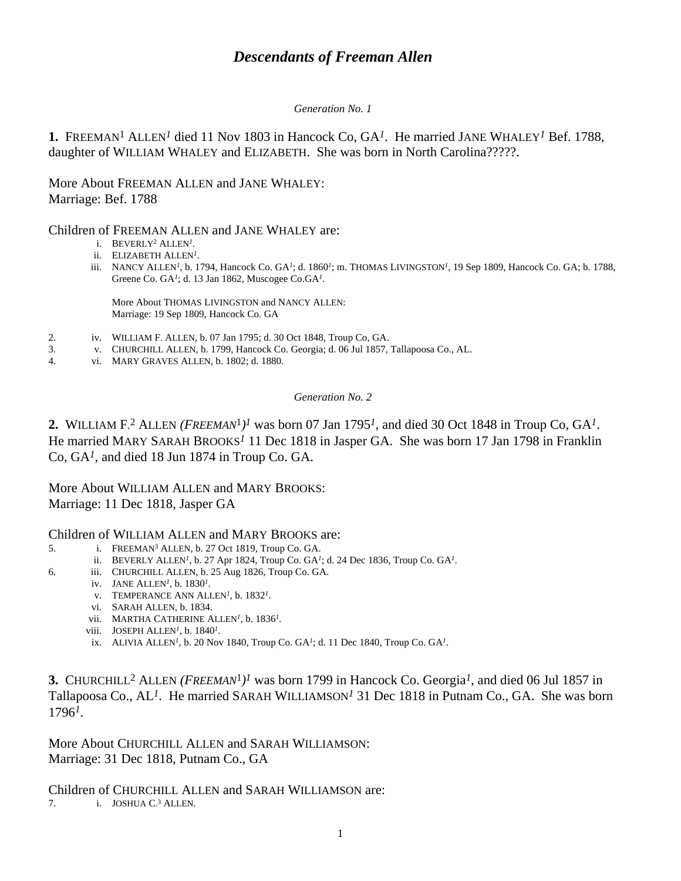# *Descendants of Freeman Allen*

#### *Generation No. 1*

**1.** FREEMAN1 ALLEN*1* died 11 Nov 1803 in Hancock Co, GA*1*. He married JANE WHALEY*1* Bef. 1788, daughter of WILLIAM WHALEY and ELIZABETH. She was born in North Carolina?????.

More About FREEMAN ALLEN and JANE WHALEY: Marriage: Bef. 1788

### Children of FREEMAN ALLEN and JANE WHALEY are:

- i. BEVERLY2 ALLEN*1*.
- ii. ELIZABETH ALLEN*1*.
- iii. NANCY ALLEN*1*, b. 1794, Hancock Co. GA*1*; d. 1860*1*; m. THOMAS LIVINGSTON*1*, 19 Sep 1809, Hancock Co. GA; b. 1788, Greene Co. GA*1*; d. 13 Jan 1862, Muscogee Co.GA*1*.

More About THOMAS LIVINGSTON and NANCY ALLEN: Marriage: 19 Sep 1809, Hancock Co. GA

- 2. iv. WILLIAM F. ALLEN, b. 07 Jan 1795; d. 30 Oct 1848, Troup Co, GA.
- 3. v. CHURCHILL ALLEN, b. 1799, Hancock Co. Georgia; d. 06 Jul 1857, Tallapoosa Co., AL.
- 4. vi. MARY GRAVES ALLEN, b. 1802; d. 1880.

#### *Generation No. 2*

**2.** WILLIAM F. 2 ALLEN *(FREEMAN*1*)1* was born 07 Jan 1795*1*, and died 30 Oct 1848 in Troup Co, GA*1*. He married MARY SARAH BROOKS*1* 11 Dec 1818 in Jasper GA. She was born 17 Jan 1798 in Franklin Co, GA*1*, and died 18 Jun 1874 in Troup Co. GA.

### More About WILLIAM ALLEN and MARY BROOKS: Marriage: 11 Dec 1818, Jasper GA

#### Children of WILLIAM ALLEN and MARY BROOKS are:

- 5. i. FREEMAN3 ALLEN, b. 27 Oct 1819, Troup Co. GA.
	- ii. BEVERLY ALLEN*1*, b. 27 Apr 1824, Troup Co. GA*1*; d. 24 Dec 1836, Troup Co. GA*1*.
- 6. iii. CHURCHILL ALLEN, b. 25 Aug 1826, Troup Co. GA.
	- iv. JANE ALLEN*1*, b. 1830*1*.
		- v. TEMPERANCE ANN ALLEN*1*, b. 1832*1*.
		- vi. SARAH ALLEN, b. 1834.
		- vii. MARTHA CATHERINE ALLEN*1*, b. 1836*1*.
		- viii. JOSEPH ALLEN*1*, b. 1840*1*.
		- ix. ALIVIA ALLEN*1*, b. 20 Nov 1840, Troup Co. GA*1*; d. 11 Dec 1840, Troup Co. GA*1*.

**3.** CHURCHILL2 ALLEN *(FREEMAN*1*)1* was born 1799 in Hancock Co. Georgia*1*, and died 06 Jul 1857 in Tallapoosa Co., AL*1*. He married SARAH WILLIAMSON*1* 31 Dec 1818 in Putnam Co., GA. She was born 1796*1*.

More About CHURCHILL ALLEN and SARAH WILLIAMSON: Marriage: 31 Dec 1818, Putnam Co., GA

Children of CHURCHILL ALLEN and SARAH WILLIAMSON are:<br>7. i. JOSHUA C<sup>3</sup> ALLEN. 7. i. JOSHUA C. 3 ALLEN.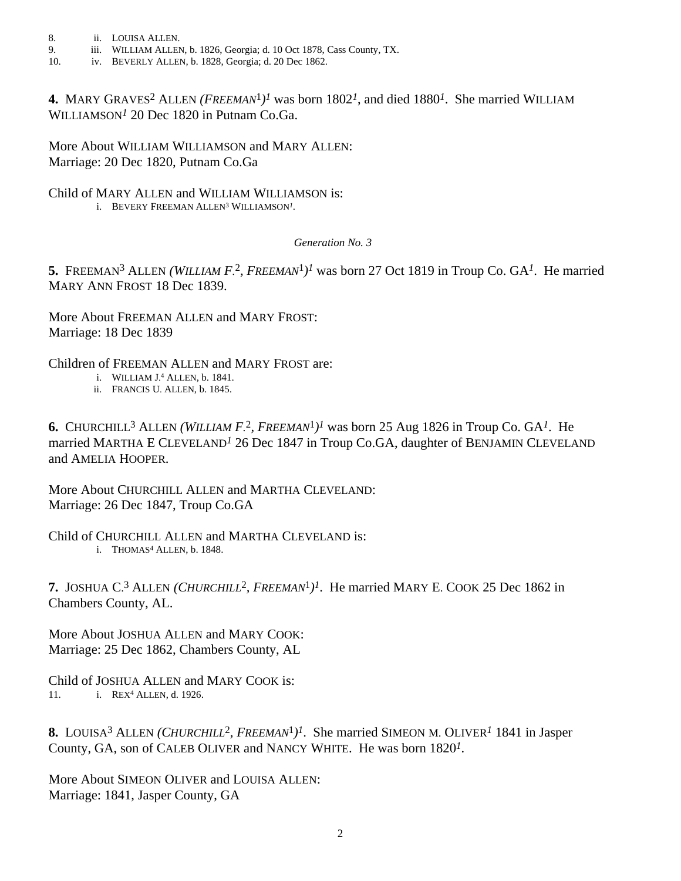- 8. ii. LOUISA ALLEN.
- 9. iii. WILLIAM ALLEN, b. 1826, Georgia; d. 10 Oct 1878, Cass County, TX.
- 10. iv. BEVERLY ALLEN, b. 1828, Georgia; d. 20 Dec 1862.

**4.** MARY GRAVES2 ALLEN *(FREEMAN*1*)1* was born 1802*1*, and died 1880*1*. She married WILLIAM WILLIAMSON*1* 20 Dec 1820 in Putnam Co.Ga.

More About WILLIAM WILLIAMSON and MARY ALLEN: Marriage: 20 Dec 1820, Putnam Co.Ga

Child of MARY ALLEN and WILLIAM WILLIAMSON is: i. BEVERY FREEMAN ALLEN3 WILLIAMSON*1*.

*Generation No. 3*

**5.** FREEMAN3 ALLEN *(WILLIAM F.* 2*, FREEMAN*1*)1* was born 27 Oct 1819 in Troup Co. GA*1*. He married MARY ANN FROST 18 Dec 1839.

More About FREEMAN ALLEN and MARY FROST: Marriage: 18 Dec 1839

Children of FREEMAN ALLEN and MARY FROST are:

- i. WILLIAM J. 4 ALLEN, b. 1841.
- ii. FRANCIS U. ALLEN, b. 1845.

**6.** CHURCHILL3 ALLEN *(WILLIAM F.* 2*, FREEMAN*1*)1* was born 25 Aug 1826 in Troup Co. GA*1*. He married MARTHA E CLEVELAND*1* 26 Dec 1847 in Troup Co.GA, daughter of BENJAMIN CLEVELAND and AMELIA HOOPER.

More About CHURCHILL ALLEN and MARTHA CLEVELAND: Marriage: 26 Dec 1847, Troup Co.GA

Child of CHURCHILL ALLEN and MARTHA CLEVELAND is: i. THOMAS4 ALLEN, b. 1848.

**7.** JOSHUA C. 3 ALLEN *(CHURCHILL*2*, FREEMAN*1*)1*. He married MARY E. COOK 25 Dec 1862 in Chambers County, AL.

More About JOSHUA ALLEN and MARY COOK: Marriage: 25 Dec 1862, Chambers County, AL

Child of JOSHUA ALLEN and MARY COOK is: 11. i. REX4 ALLEN, d. 1926.

**8.** LOUISA3 ALLEN *(CHURCHILL*2*, FREEMAN*1*)1*. She married SIMEON M. OLIVER*1* 1841 in Jasper County, GA, son of CALEB OLIVER and NANCY WHITE. He was born 1820*1*.

More About SIMEON OLIVER and LOUISA ALLEN: Marriage: 1841, Jasper County, GA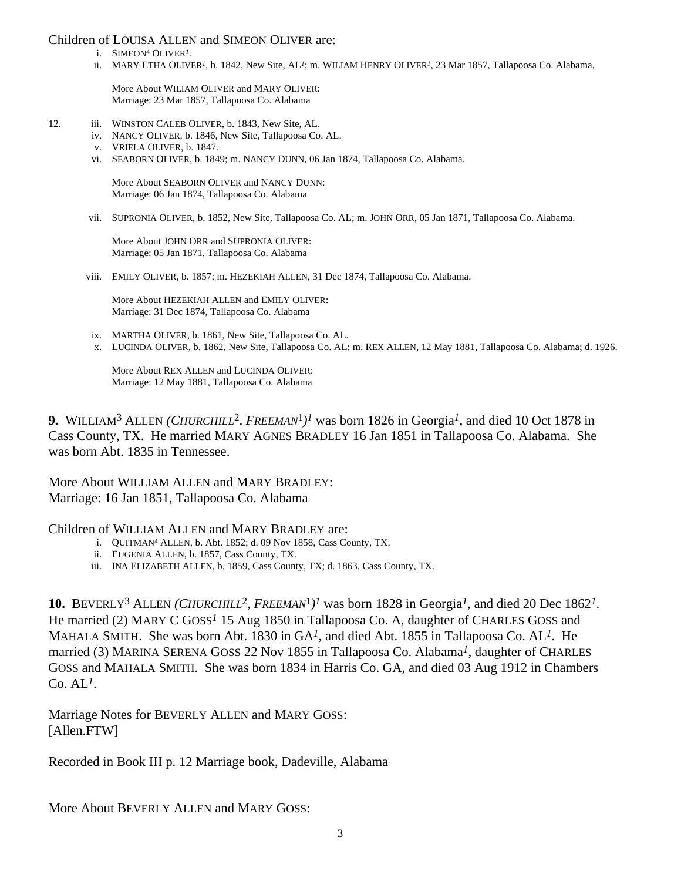#### Children of LOUISA ALLEN and SIMEON OLIVER are:

- i. SIMEON4 OLIVER*1*.
- ii. MARY ETHA OLIVER*1*, b. 1842, New Site, AL*1*; m. WILIAM HENRY OLIVER*1*, 23 Mar 1857, Tallapoosa Co. Alabama.

More About WILIAM OLIVER and MARY OLIVER: Marriage: 23 Mar 1857, Tallapoosa Co. Alabama

- 12. iii. WINSTON CALEB OLIVER, b. 1843, New Site, AL.
	- iv. NANCY OLIVER, b. 1846, New Site, Tallapoosa Co. AL.
	- v. VRIELA OLIVER, b. 1847.
	- vi. SEABORN OLIVER, b. 1849; m. NANCY DUNN, 06 Jan 1874, Tallapoosa Co. Alabama.

More About SEABORN OLIVER and NANCY DUNN: Marriage: 06 Jan 1874, Tallapoosa Co. Alabama

vii. SUPRONIA OLIVER, b. 1852, New Site, Tallapoosa Co. AL; m. JOHN ORR, 05 Jan 1871, Tallapoosa Co. Alabama.

More About JOHN ORR and SUPRONIA OLIVER: Marriage: 05 Jan 1871, Tallapoosa Co. Alabama

viii. EMILY OLIVER, b. 1857; m. HEZEKIAH ALLEN, 31 Dec 1874, Tallapoosa Co. Alabama.

More About HEZEKIAH ALLEN and EMILY OLIVER: Marriage: 31 Dec 1874, Tallapoosa Co. Alabama

- ix. MARTHA OLIVER, b. 1861, New Site, Tallapoosa Co. AL.
- x. LUCINDA OLIVER, b. 1862, New Site, Tallapoosa Co. AL; m. REX ALLEN, 12 May 1881, Tallapoosa Co. Alabama; d. 1926.

More About REX ALLEN and LUCINDA OLIVER: Marriage: 12 May 1881, Tallapoosa Co. Alabama

**9.** WILLIAM3 ALLEN *(CHURCHILL*2*, FREEMAN*1*)1* was born 1826 in Georgia*1*, and died 10 Oct 1878 in Cass County, TX. He married MARY AGNES BRADLEY 16 Jan 1851 in Tallapoosa Co. Alabama. She was born Abt. 1835 in Tennessee.

More About WILLIAM ALLEN and MARY BRADLEY: Marriage: 16 Jan 1851, Tallapoosa Co. Alabama

#### Children of WILLIAM ALLEN and MARY BRADLEY are:

- i. QUITMAN4 ALLEN, b. Abt. 1852; d. 09 Nov 1858, Cass County, TX.
- ii. EUGENIA ALLEN, b. 1857, Cass County, TX.
- iii. INA ELIZABETH ALLEN, b. 1859, Cass County, TX; d. 1863, Cass County, TX.

**10.** BEVERLY3 ALLEN *(CHURCHILL*2*, FREEMAN*1*)1* was born 1828 in Georgia*1*, and died 20 Dec 1862*1*. He married (2) MARY C GOSS*1* 15 Aug 1850 in Tallapoosa Co. A, daughter of CHARLES GOSS and MAHALA SMITH. She was born Abt. 1830 in GA*1*, and died Abt. 1855 in Tallapoosa Co. AL*1*. He married (3) MARINA SERENA GOSS 22 Nov 1855 in Tallapoosa Co. Alabama*1*, daughter of CHARLES GOSS and MAHALA SMITH. She was born 1834 in Harris Co. GA, and died 03 Aug 1912 in Chambers  $Co. AL<sup>*I*</sup>$ .

Marriage Notes for BEVERLY ALLEN and MARY GOSS: [Allen.FTW]

Recorded in Book III p. 12 Marriage book, Dadeville, Alabama

More About BEVERLY ALLEN and MARY GOSS: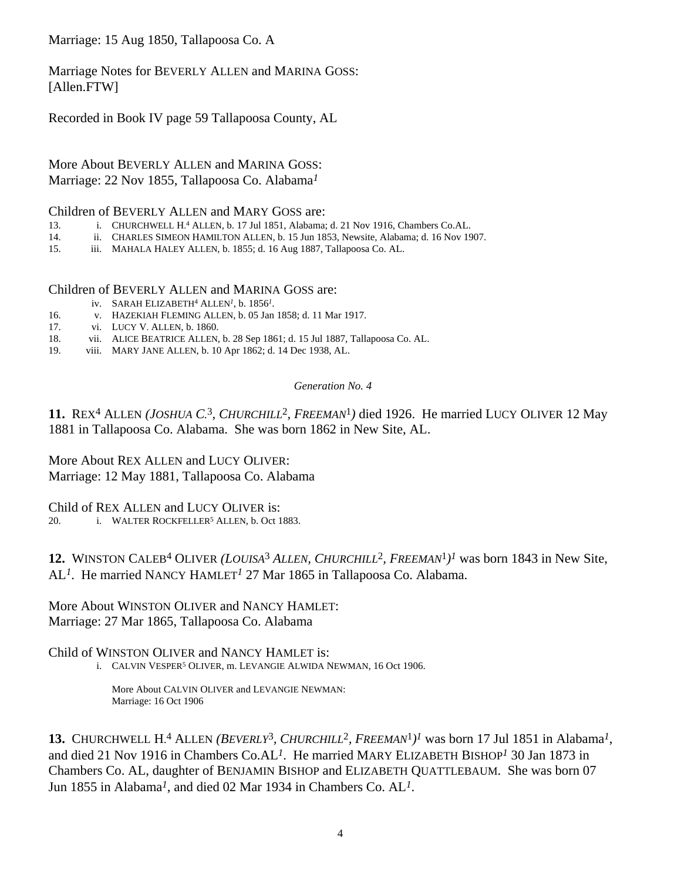Marriage: 15 Aug 1850, Tallapoosa Co. A

Marriage Notes for BEVERLY ALLEN and MARINA GOSS: [Allen.FTW]

Recorded in Book IV page 59 Tallapoosa County, AL

More About BEVERLY ALLEN and MARINA GOSS: Marriage: 22 Nov 1855, Tallapoosa Co. Alabama*1*

#### Children of BEVERLY ALLEN and MARY GOSS are:

- 13. i. CHURCHWELL H. 4 ALLEN, b. 17 Jul 1851, Alabama; d. 21 Nov 1916, Chambers Co.AL.
- 14. ii. CHARLES SIMEON HAMILTON ALLEN, b. 15 Jun 1853, Newsite, Alabama; d. 16 Nov 1907.
- 15. iii. MAHALA HALEY ALLEN, b. 1855; d. 16 Aug 1887, Tallapoosa Co. AL.

#### Children of BEVERLY ALLEN and MARINA GOSS are:

- iv. SARAH ELIZABETH4 ALLEN*1*, b. 1856*1*.
- 16. v. HAZEKIAH FLEMING ALLEN, b. 05 Jan 1858; d. 11 Mar 1917.
- 17. vi. LUCY V. ALLEN, b. 1860.
- 18. vii. ALICE BEATRICE ALLEN, b. 28 Sep 1861; d. 15 Jul 1887, Tallapoosa Co. AL.
- 19. viii. MARY JANE ALLEN, b. 10 Apr 1862; d. 14 Dec 1938, AL.

#### *Generation No. 4*

**11.** REX4 ALLEN *(JOSHUA C.* 3*, CHURCHILL*2*, FREEMAN*1*)* died 1926. He married LUCY OLIVER 12 May 1881 in Tallapoosa Co. Alabama. She was born 1862 in New Site, AL.

More About REX ALLEN and LUCY OLIVER: Marriage: 12 May 1881, Tallapoosa Co. Alabama

Child of REX ALLEN and LUCY OLIVER is:

20. **i.** WALTER ROCKFELLER<sup>5</sup> ALLEN, b. Oct 1883.

**12.** WINSTON CALEB4 OLIVER *(LOUISA*3 *ALLEN, CHURCHILL*2*, FREEMAN*1*)1* was born 1843 in New Site, AL*1*. He married NANCY HAMLET*1* 27 Mar 1865 in Tallapoosa Co. Alabama.

More About WINSTON OLIVER and NANCY HAMLET: Marriage: 27 Mar 1865, Tallapoosa Co. Alabama

### Child of WINSTON OLIVER and NANCY HAMLET is:

i. CALVIN VESPER<sup>5</sup> OLIVER, m. LEVANGIE ALWIDA NEWMAN, 16 Oct 1906.

More About CALVIN OLIVER and LEVANGIE NEWMAN: Marriage: 16 Oct 1906

**13.** CHURCHWELL H. 4 ALLEN *(BEVERLY*3*, CHURCHILL*2*, FREEMAN*1*)1* was born 17 Jul 1851 in Alabama*1*, and died 21 Nov 1916 in Chambers Co.AL*1*. He married MARY ELIZABETH BISHOP*1* 30 Jan 1873 in Chambers Co. AL, daughter of BENJAMIN BISHOP and ELIZABETH QUATTLEBAUM. She was born 07 Jun 1855 in Alabama*1*, and died 02 Mar 1934 in Chambers Co. AL*1*.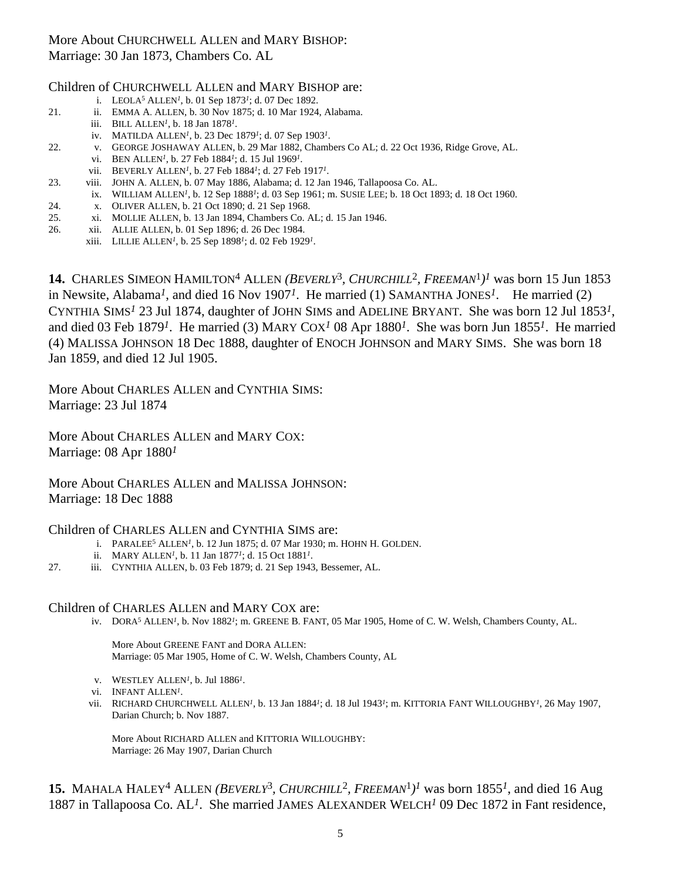# More About CHURCHWELL ALLEN and MARY BISHOP: Marriage: 30 Jan 1873, Chambers Co. AL

### Children of CHURCHWELL ALLEN and MARY BISHOP are:

- i. LEOLA5 ALLEN*1*, b. 01 Sep 1873*1*; d. 07 Dec 1892.
- 21. ii. EMMA A. ALLEN, b. 30 Nov 1875; d. 10 Mar 1924, Alabama.
	- iii. BILL ALLEN*1*, b. 18 Jan 1878*1*.
	- iv. MATILDA ALLEN*1*, b. 23 Dec 1879*1*; d. 07 Sep 1903*1*.
- 22. v. GEORGE JOSHAWAY ALLEN, b. 29 Mar 1882, Chambers Co AL; d. 22 Oct 1936, Ridge Grove, AL. vi. BEN ALLEN*1*, b. 27 Feb 1884*1*; d. 15 Jul 1969*1*.
	- vii. BEVERLY ALLEN*1*, b. 27 Feb 1884*1*; d. 27 Feb 1917*1*.
- 23. viii. JOHN A. ALLEN, b. 07 May 1886, Alabama; d. 12 Jan 1946, Tallapoosa Co. AL.
- ix. WILLIAM ALLEN*1*, b. 12 Sep 1888*1*; d. 03 Sep 1961; m. SUSIE LEE; b. 18 Oct 1893; d. 18 Oct 1960.
- 24. x. OLIVER ALLEN, b. 21 Oct 1890; d. 21 Sep 1968.
- 25. xi. MOLLIE ALLEN, b. 13 Jan 1894, Chambers Co. AL; d. 15 Jan 1946.
- 26. xii. ALLIE ALLEN, b. 01 Sep 1896; d. 26 Dec 1984.
	- xiii. LILLIE ALLEN*1*, b. 25 Sep 1898*1*; d. 02 Feb 1929*1*.

**14.** CHARLES SIMEON HAMILTON4 ALLEN *(BEVERLY*3*, CHURCHILL*2*, FREEMAN*1*)1* was born 15 Jun 1853 in Newsite, Alabama*1*, and died 16 Nov 1907*1*. He married (1) SAMANTHA JONES*1*. He married (2) CYNTHIA SIMS*1* 23 Jul 1874, daughter of JOHN SIMS and ADELINE BRYANT. She was born 12 Jul 1853*1*, and died 03 Feb 1879*1*. He married (3) MARY COX*1* 08 Apr 1880*1*. She was born Jun 1855*1*. He married (4) MALISSA JOHNSON 18 Dec 1888, daughter of ENOCH JOHNSON and MARY SIMS. She was born 18 Jan 1859, and died 12 Jul 1905.

More About CHARLES ALLEN and CYNTHIA SIMS: Marriage: 23 Jul 1874

More About CHARLES ALLEN and MARY COX: Marriage: 08 Apr 1880*1*

More About CHARLES ALLEN and MALISSA JOHNSON: Marriage: 18 Dec 1888

#### Children of CHARLES ALLEN and CYNTHIA SIMS are:

- i. PARALEE5 ALLEN*1*, b. 12 Jun 1875; d. 07 Mar 1930; m. HOHN H. GOLDEN.
- ii. MARY ALLEN*1*, b. 11 Jan 1877*1*; d. 15 Oct 1881*1*.
- 27. iii. CYNTHIA ALLEN, b. 03 Feb 1879; d. 21 Sep 1943, Bessemer, AL.

#### Children of CHARLES ALLEN and MARY COX are:

iv. DORA5 ALLEN*1*, b. Nov 1882*1*; m. GREENE B. FANT, 05 Mar 1905, Home of C. W. Welsh, Chambers County, AL.

More About GREENE FANT and DORA ALLEN: Marriage: 05 Mar 1905, Home of C. W. Welsh, Chambers County, AL

- v. WESTLEY ALLEN*1*, b. Jul 1886*1*.
- vi. INFANT ALLEN*1*.
- vii. RICHARD CHURCHWELL ALLEN*1*, b. 13 Jan 1884*1*; d. 18 Jul 1943*1*; m. KITTORIA FANT WILLOUGHBY*1*, 26 May 1907, Darian Church; b. Nov 1887.

More About RICHARD ALLEN and KITTORIA WILLOUGHBY: Marriage: 26 May 1907, Darian Church

**15.** MAHALA HALEY4 ALLEN *(BEVERLY*3*, CHURCHILL*2*, FREEMAN*1*)1* was born 1855*1*, and died 16 Aug 1887 in Tallapoosa Co. AL*1*. She married JAMES ALEXANDER WELCH*1* 09 Dec 1872 in Fant residence,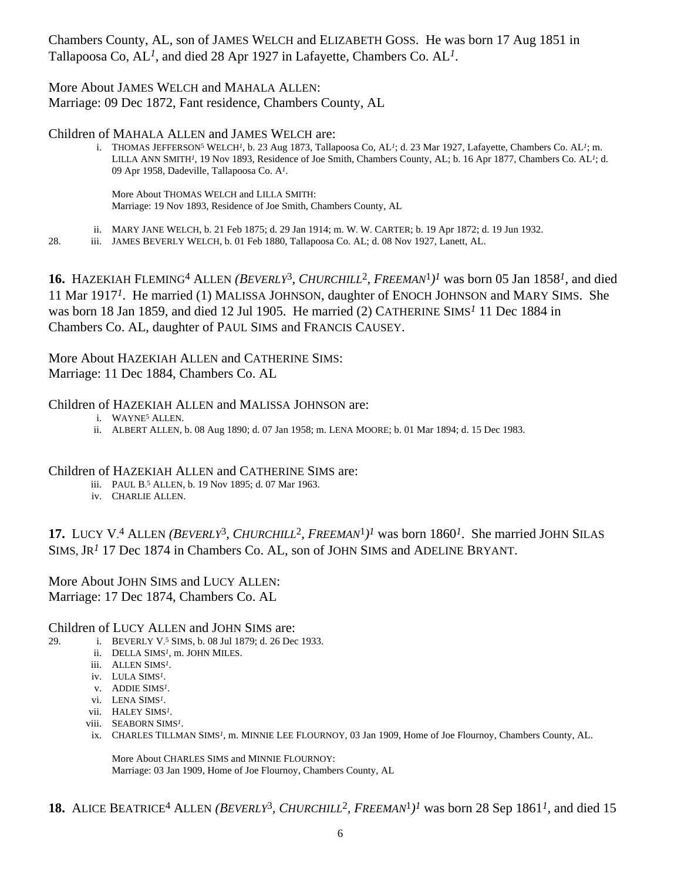Chambers County, AL, son of JAMES WELCH and ELIZABETH GOSS. He was born 17 Aug 1851 in Tallapoosa Co, AL*1*, and died 28 Apr 1927 in Lafayette, Chambers Co. AL*1*.

#### More About JAMES WELCH and MAHALA ALLEN: Marriage: 09 Dec 1872, Fant residence, Chambers County, AL

Children of MAHALA ALLEN and JAMES WELCH are:

i. THOMAS JEFFERSON5 WELCH*1*, b. 23 Aug 1873, Tallapoosa Co, AL*1*; d. 23 Mar 1927, Lafayette, Chambers Co. AL*1*; m. LILLA ANN SMITH*1*, 19 Nov 1893, Residence of Joe Smith, Chambers County, AL; b. 16 Apr 1877, Chambers Co. AL*1*; d. 09 Apr 1958, Dadeville, Tallapoosa Co. A*1*.

More About THOMAS WELCH and LILLA SMITH: Marriage: 19 Nov 1893, Residence of Joe Smith, Chambers County, AL

- ii. MARY JANE WELCH, b. 21 Feb 1875; d. 29 Jan 1914; m. W. W. CARTER; b. 19 Apr 1872; d. 19 Jun 1932.
- 28. iii. JAMES BEVERLY WELCH, b. 01 Feb 1880, Tallapoosa Co. AL; d. 08 Nov 1927, Lanett, AL.

**16.** HAZEKIAH FLEMING4 ALLEN *(BEVERLY*3*, CHURCHILL*2*, FREEMAN*1*)1* was born 05 Jan 1858*1*, and died 11 Mar 1917*1*. He married (1) MALISSA JOHNSON, daughter of ENOCH JOHNSON and MARY SIMS. She was born 18 Jan 1859, and died 12 Jul 1905. He married (2) CATHERINE SIMS*1* 11 Dec 1884 in Chambers Co. AL, daughter of PAUL SIMS and FRANCIS CAUSEY.

More About HAZEKIAH ALLEN and CATHERINE SIMS: Marriage: 11 Dec 1884, Chambers Co. AL

### Children of HAZEKIAH ALLEN and MALISSA JOHNSON are:

- i. WAYNE5 ALLEN.
- ii. ALBERT ALLEN, b. 08 Aug 1890; d. 07 Jan 1958; m. LENA MOORE; b. 01 Mar 1894; d. 15 Dec 1983.

#### Children of HAZEKIAH ALLEN and CATHERINE SIMS are:

- iii. PAUL B. 5 ALLEN, b. 19 Nov 1895; d. 07 Mar 1963.
- iv. CHARLIE ALLEN.

**17.** LUCY V.<sup>4</sup> ALLEN (BEVERLY<sup>3</sup>, CHURCHILL<sup>2</sup>, FREEMAN<sup>1</sup>)<sup>I</sup> was born 1860<sup>I</sup>. She married JOHN SILAS SIMS, JR<sup>1</sup> 17 Dec 1874 in Chambers Co. AL, son of JOHN SIMS and ADELINE BRYANT.

More About JOHN SIMS and LUCY ALLEN: Marriage: 17 Dec 1874, Chambers Co. AL

#### Children of LUCY ALLEN and JOHN SIMS are:

- 29. i. BEVERLY V. 5 SIMS, b. 08 Jul 1879; d. 26 Dec 1933.
	- ii. DELLA SIMS*1*, m. JOHN MILES.
	- iii. ALLEN SIMS*1*.
	- iv. LULA SIMS*1*.
	- v. ADDIE SIMS*1*.
	- vi. LENA SIMS*1*.
	- vii. HALEY SIMS*1*.
	- viii. SEABORN SIMS*1*.
	- ix. CHARLES TILLMAN SIMS*1*, m. MINNIE LEE FLOURNOY, 03 Jan 1909, Home of Joe Flournoy, Chambers County, AL.

More About CHARLES SIMS and MINNIE FLOURNOY: Marriage: 03 Jan 1909, Home of Joe Flournoy, Chambers County, AL

18. ALICE BEATRICE<sup>4</sup> ALLEN *(BEVERLY<sup>3</sup>, CHURCHILL<sup>2</sup>, FREEMAN<sup>1</sup>)<sup>1</sup> was born 28 Sep 1861<sup>1</sup>, and died 15*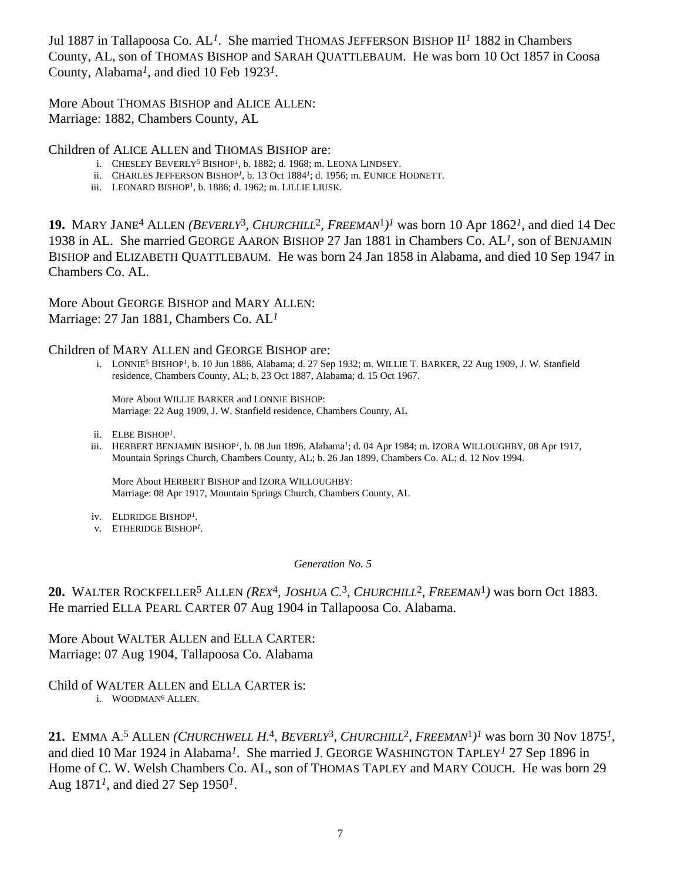Jul 1887 in Tallapoosa Co. AL*1*. She married THOMAS JEFFERSON BISHOP II*1* 1882 in Chambers County, AL, son of THOMAS BISHOP and SARAH QUATTLEBAUM. He was born 10 Oct 1857 in Coosa County, Alabama*1*, and died 10 Feb 1923*1*.

More About THOMAS BISHOP and ALICE ALLEN: Marriage: 1882, Chambers County, AL

Children of ALICE ALLEN and THOMAS BISHOP are:

- i. CHESLEY BEVERLY5 BISHOP*1*, b. 1882; d. 1968; m. LEONA LINDSEY.
- ii. CHARLES JEFFERSON BISHOP*1*, b. 13 Oct 1884*1*; d. 1956; m. EUNICE HODNETT.
- iii. LEONARD BISHOP*1*, b. 1886; d. 1962; m. LILLIE LIUSK.

**19.** MARY JANE4 ALLEN *(BEVERLY*3*, CHURCHILL*2*, FREEMAN*1*)1* was born 10 Apr 1862*1*, and died 14 Dec 1938 in AL. She married GEORGE AARON BISHOP 27 Jan 1881 in Chambers Co. AL*1*, son of BENJAMIN BISHOP and ELIZABETH QUATTLEBAUM. He was born 24 Jan 1858 in Alabama, and died 10 Sep 1947 in Chambers Co. AL.

More About GEORGE BISHOP and MARY ALLEN: Marriage: 27 Jan 1881, Chambers Co. AL*1*

Children of MARY ALLEN and GEORGE BISHOP are:

i. LONNIE5 BISHOP*1*, b. 10 Jun 1886, Alabama; d. 27 Sep 1932; m. WILLIE T. BARKER, 22 Aug 1909, J. W. Stanfield residence, Chambers County, AL; b. 23 Oct 1887, Alabama; d. 15 Oct 1967.

More About WILLIE BARKER and LONNIE BISHOP: Marriage: 22 Aug 1909, J. W. Stanfield residence, Chambers County, AL

- ii. ELBE BISHOP*1*.
- iii. HERBERT BENJAMIN BISHOP*1*, b. 08 Jun 1896, Alabama*1*; d. 04 Apr 1984; m. IZORA WILLOUGHBY, 08 Apr 1917, Mountain Springs Church, Chambers County, AL; b. 26 Jan 1899, Chambers Co. AL; d. 12 Nov 1994.

More About HERBERT BISHOP and IZORA WILLOUGHBY: Marriage: 08 Apr 1917, Mountain Springs Church, Chambers County, AL

- iv. ELDRIDGE BISHOP*1*.
- v. ETHERIDGE BISHOP*1*.

*Generation No. 5*

**20.** WALTER ROCKFELLER5 ALLEN *(REX*4*, JOSHUA C.* 3*, CHURCHILL*2*, FREEMAN*1*)* was born Oct 1883. He married ELLA PEARL CARTER 07 Aug 1904 in Tallapoosa Co. Alabama.

More About WALTER ALLEN and ELLA CARTER: Marriage: 07 Aug 1904, Tallapoosa Co. Alabama

Child of WALTER ALLEN and ELLA CARTER is:

i. WOODMAN6 ALLEN.

**21.** EMMA A. 5 ALLEN *(CHURCHWELL H.* 4*, BEVERLY*3*, CHURCHILL*2*, FREEMAN*1*)1* was born 30 Nov 1875*1*, and died 10 Mar 1924 in Alabama*1*. She married J. GEORGE WASHINGTON TAPLEY*1* 27 Sep 1896 in Home of C. W. Welsh Chambers Co. AL, son of THOMAS TAPLEY and MARY COUCH. He was born 29 Aug 1871*1*, and died 27 Sep 1950*1*.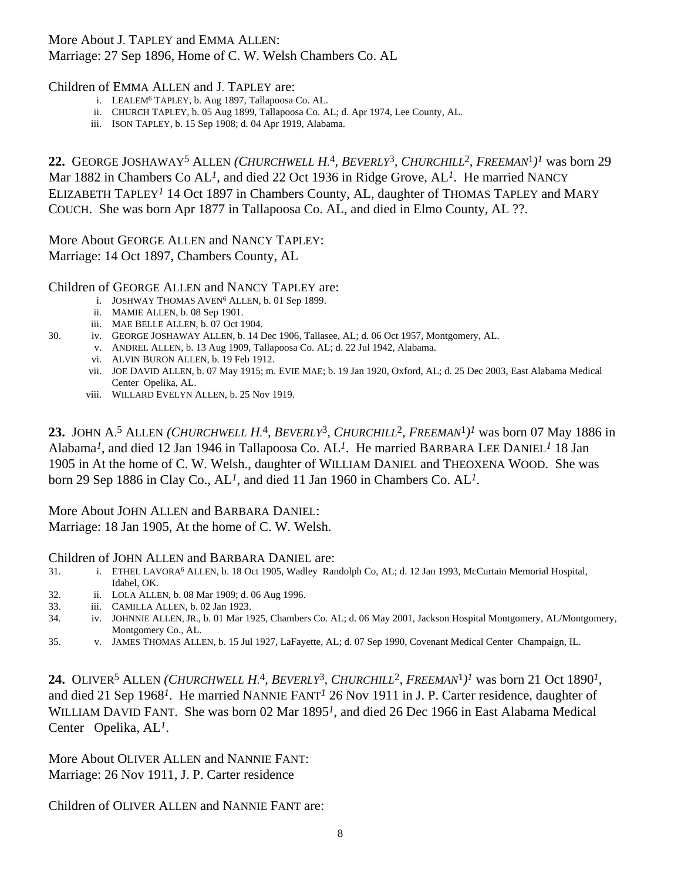# More About J. TAPLEY and EMMA ALLEN: Marriage: 27 Sep 1896, Home of C. W. Welsh Chambers Co. AL

### Children of EMMA ALLEN and J. TAPLEY are:

- i. LEALEM6 TAPLEY, b. Aug 1897, Tallapoosa Co. AL.
- ii. CHURCH TAPLEY, b. 05 Aug 1899, Tallapoosa Co. AL; d. Apr 1974, Lee County, AL.
- iii. ISON TAPLEY, b. 15 Sep 1908; d. 04 Apr 1919, Alabama.

**22.** GEORGE JOSHAWAY5 ALLEN *(CHURCHWELL H.* 4*, BEVERLY*3*, CHURCHILL*2*, FREEMAN*1*)1* was born 29 Mar 1882 in Chambers Co AL*1*, and died 22 Oct 1936 in Ridge Grove, AL*1*. He married NANCY ELIZABETH TAPLEY*1* 14 Oct 1897 in Chambers County, AL, daughter of THOMAS TAPLEY and MARY COUCH. She was born Apr 1877 in Tallapoosa Co. AL, and died in Elmo County, AL ??.

More About GEORGE ALLEN and NANCY TAPLEY: Marriage: 14 Oct 1897, Chambers County, AL

Children of GEORGE ALLEN and NANCY TAPLEY are:

- i. JOSHWAY THOMAS AVEN6 ALLEN, b. 01 Sep 1899.
- ii. MAMIE ALLEN, b. 08 Sep 1901.
- iii. MAE BELLE ALLEN, b. 07 Oct 1904.
- 30. iv. GEORGE JOSHAWAY ALLEN, b. 14 Dec 1906, Tallasee, AL; d. 06 Oct 1957, Montgomery, AL.
	- v. ANDREL ALLEN, b. 13 Aug 1909, Tallapoosa Co. AL; d. 22 Jul 1942, Alabama.
	- vi. ALVIN BURON ALLEN, b. 19 Feb 1912.
	- vii. JOE DAVID ALLEN, b. 07 May 1915; m. EVIE MAE; b. 19 Jan 1920, Oxford, AL; d. 25 Dec 2003, East Alabama Medical Center Opelika, AL.
	- viii. WILLARD EVELYN ALLEN, b. 25 Nov 1919.

**23.** JOHN A. 5 ALLEN *(CHURCHWELL H.* 4*, BEVERLY*3*, CHURCHILL*2*, FREEMAN*1*)1* was born 07 May 1886 in Alabama*1*, and died 12 Jan 1946 in Tallapoosa Co. AL*1*. He married BARBARA LEE DANIEL*1* 18 Jan 1905 in At the home of C. W. Welsh., daughter of WILLIAM DANIEL and THEOXENA WOOD. She was born 29 Sep 1886 in Clay Co., AL*1*, and died 11 Jan 1960 in Chambers Co. AL*1*.

More About JOHN ALLEN and BARBARA DANIEL: Marriage: 18 Jan 1905, At the home of C. W. Welsh.

#### Children of JOHN ALLEN and BARBARA DANIEL are:

- 31. i. ETHEL LAVORA6 ALLEN, b. 18 Oct 1905, Wadley Randolph Co, AL; d. 12 Jan 1993, McCurtain Memorial Hospital, Idabel, OK.
- 32. ii. LOLA ALLEN, b. 08 Mar 1909; d. 06 Aug 1996.
- 33. iii. CAMILLA ALLEN, b. 02 Jan 1923.
- 34. iv. JOHNNIE ALLEN, JR., b. 01 Mar 1925, Chambers Co. AL; d. 06 May 2001, Jackson Hospital Montgomery, AL/Montgomery, Montgomery Co., AL.
- 35. v. JAMES THOMAS ALLEN, b. 15 Jul 1927, LaFayette, AL; d. 07 Sep 1990, Covenant Medical Center Champaign, IL.

**24.** OLIVER5 ALLEN *(CHURCHWELL H.* 4*, BEVERLY*3*, CHURCHILL*2*, FREEMAN*1*)1* was born 21 Oct 1890*1*, and died 21 Sep 1968*1*. He married NANNIE FANT*1* 26 Nov 1911 in J. P. Carter residence, daughter of WILLIAM DAVID FANT. She was born 02 Mar 1895*1*, and died 26 Dec 1966 in East Alabama Medical Center Opelika, AL*1*.

More About OLIVER ALLEN and NANNIE FANT: Marriage: 26 Nov 1911, J. P. Carter residence

Children of OLIVER ALLEN and NANNIE FANT are: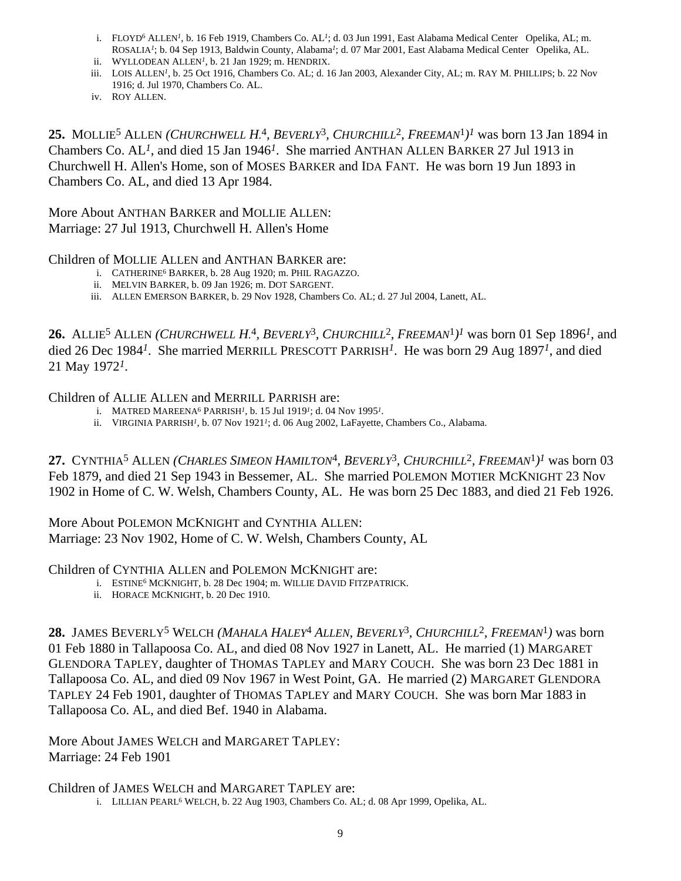- i. FLOYD6 ALLEN*1*, b. 16 Feb 1919, Chambers Co. AL*1*; d. 03 Jun 1991, East Alabama Medical Center Opelika, AL; m. ROSALIA*1*; b. 04 Sep 1913, Baldwin County, Alabama*1*; d. 07 Mar 2001, East Alabama Medical Center Opelika, AL.
- ii. WYLLODEAN ALLEN*1*, b. 21 Jan 1929; m. HENDRIX.
- iii. LOIS ALLEN<sup>1</sup>, b. 25 Oct 1916, Chambers Co. AL; d. 16 Jan 2003, Alexander City, AL; m. RAY M. PHILLIPS; b. 22 Nov 1916; d. Jul 1970, Chambers Co. AL.
- iv. ROY ALLEN.

**25.** MOLLIE5 ALLEN *(CHURCHWELL H.* 4*, BEVERLY*3*, CHURCHILL*2*, FREEMAN*1*)1* was born 13 Jan 1894 in Chambers Co. AL*1*, and died 15 Jan 1946*1*. She married ANTHAN ALLEN BARKER 27 Jul 1913 in Churchwell H. Allen's Home, son of MOSES BARKER and IDA FANT. He was born 19 Jun 1893 in Chambers Co. AL, and died 13 Apr 1984.

More About ANTHAN BARKER and MOLLIE ALLEN: Marriage: 27 Jul 1913, Churchwell H. Allen's Home

### Children of MOLLIE ALLEN and ANTHAN BARKER are:

- i. CATHERINE6 BARKER, b. 28 Aug 1920; m. PHIL RAGAZZO.
- ii. MELVIN BARKER, b. 09 Jan 1926; m. DOT SARGENT.
- iii. ALLEN EMERSON BARKER, b. 29 Nov 1928, Chambers Co. AL; d. 27 Jul 2004, Lanett, AL.

**26.** ALLIE5 ALLEN *(CHURCHWELL H.* 4*, BEVERLY*3*, CHURCHILL*2*, FREEMAN*1*)1* was born 01 Sep 1896*1*, and died 26 Dec 1984*1*. She married MERRILL PRESCOTT PARRISH*1*. He was born 29 Aug 1897*1*, and died 21 May 1972*1*.

### Children of ALLIE ALLEN and MERRILL PARRISH are:

- i. MATRED MAREENA6 PARRISH*1*, b. 15 Jul 1919*1*; d. 04 Nov 1995*1*.
- ii. VIRGINIA PARRISH*1*, b. 07 Nov 1921*1*; d. 06 Aug 2002, LaFayette, Chambers Co., Alabama.

**27.** CYNTHIA5 ALLEN *(CHARLES SIMEON HAMILTON*4*, BEVERLY*3*, CHURCHILL*2*, FREEMAN*1*)1* was born 03 Feb 1879, and died 21 Sep 1943 in Bessemer, AL. She married POLEMON MOTIER MCKNIGHT 23 Nov 1902 in Home of C. W. Welsh, Chambers County, AL. He was born 25 Dec 1883, and died 21 Feb 1926.

More About POLEMON MCKNIGHT and CYNTHIA ALLEN: Marriage: 23 Nov 1902, Home of C. W. Welsh, Chambers County, AL

Children of CYNTHIA ALLEN and POLEMON MCKNIGHT are:

- i. ESTINE6 MCKNIGHT, b. 28 Dec 1904; m. WILLIE DAVID FITZPATRICK.
- ii. HORACE MCKNIGHT, b. 20 Dec 1910.

**28.** JAMES BEVERLY5 WELCH *(MAHALA HALEY*4 *ALLEN, BEVERLY*3*, CHURCHILL*2*, FREEMAN*1*)* was born 01 Feb 1880 in Tallapoosa Co. AL, and died 08 Nov 1927 in Lanett, AL. He married (1) MARGARET GLENDORA TAPLEY, daughter of THOMAS TAPLEY and MARY COUCH. She was born 23 Dec 1881 in Tallapoosa Co. AL, and died 09 Nov 1967 in West Point, GA. He married (2) MARGARET GLENDORA TAPLEY 24 Feb 1901, daughter of THOMAS TAPLEY and MARY COUCH. She was born Mar 1883 in Tallapoosa Co. AL, and died Bef. 1940 in Alabama.

More About JAMES WELCH and MARGARET TAPLEY: Marriage: 24 Feb 1901

Children of JAMES WELCH and MARGARET TAPLEY are:

i. LILLIAN PEARL<sup>6</sup> WELCH, b. 22 Aug 1903, Chambers Co. AL; d. 08 Apr 1999, Opelika, AL.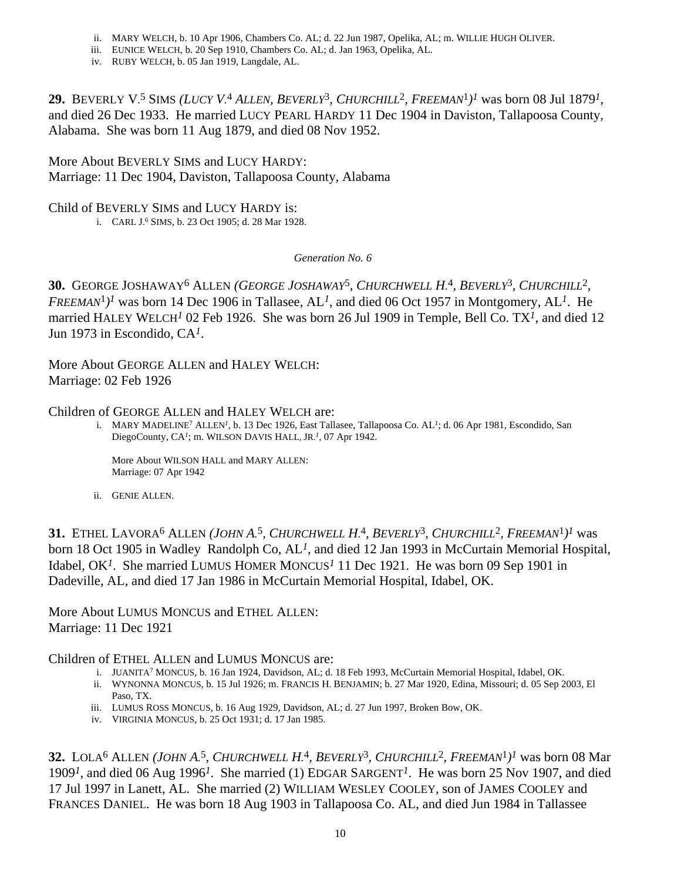- ii. MARY WELCH, b. 10 Apr 1906, Chambers Co. AL; d. 22 Jun 1987, Opelika, AL; m. WILLIE HUGH OLIVER.
- iii. EUNICE WELCH, b. 20 Sep 1910, Chambers Co. AL; d. Jan 1963, Opelika, AL.
- iv. RUBY WELCH, b. 05 Jan 1919, Langdale, AL.

**29.** BEVERLY V. 5 SIMS *(LUCY V.* 4 *ALLEN, BEVERLY*3*, CHURCHILL*2*, FREEMAN*1*)1* was born 08 Jul 1879*1*, and died 26 Dec 1933. He married LUCY PEARL HARDY 11 Dec 1904 in Daviston, Tallapoosa County, Alabama. She was born 11 Aug 1879, and died 08 Nov 1952.

More About BEVERLY SIMS and LUCY HARDY: Marriage: 11 Dec 1904, Daviston, Tallapoosa County, Alabama

Child of BEVERLY SIMS and LUCY HARDY is:

i. CARL J. 6 SIMS, b. 23 Oct 1905; d. 28 Mar 1928.

*Generation No. 6*

**30.** GEORGE JOSHAWAY6 ALLEN *(GEORGE JOSHAWAY*5*, CHURCHWELL H.* 4*, BEVERLY*3*, CHURCHILL*2*, FREEMAN*1*)1* was born 14 Dec 1906 in Tallasee, AL*1*, and died 06 Oct 1957 in Montgomery, AL*1*. He married HALEY WELCH*1* 02 Feb 1926. She was born 26 Jul 1909 in Temple, Bell Co. TX*1*, and died 12 Jun 1973 in Escondido, CA*1*.

More About GEORGE ALLEN and HALEY WELCH: Marriage: 02 Feb 1926

### Children of GEORGE ALLEN and HALEY WELCH are:

i. MARY MADELINE7 ALLEN*1*, b. 13 Dec 1926, East Tallasee, Tallapoosa Co. AL*1*; d. 06 Apr 1981, Escondido, San DiegoCounty, CA*1*; m. WILSON DAVIS HALL, JR.*1*, 07 Apr 1942.

More About WILSON HALL and MARY ALLEN: Marriage: 07 Apr 1942

ii. GENIE ALLEN.

**31.** ETHEL LAVORA6 ALLEN *(JOHN A.* 5*, CHURCHWELL H.* 4*, BEVERLY*3*, CHURCHILL*2*, FREEMAN*1*)1* was born 18 Oct 1905 in Wadley Randolph Co, AL*1*, and died 12 Jan 1993 in McCurtain Memorial Hospital, Idabel, OK*1*. She married LUMUS HOMER MONCUS*1* 11 Dec 1921. He was born 09 Sep 1901 in Dadeville, AL, and died 17 Jan 1986 in McCurtain Memorial Hospital, Idabel, OK.

More About LUMUS MONCUS and ETHEL ALLEN: Marriage: 11 Dec 1921

Children of ETHEL ALLEN and LUMUS MONCUS are:

- i. JUANITA7 MONCUS, b. 16 Jan 1924, Davidson, AL; d. 18 Feb 1993, McCurtain Memorial Hospital, Idabel, OK.
- ii. WYNONNA MONCUS, b. 15 Jul 1926; m. FRANCIS H. BENJAMIN; b. 27 Mar 1920, Edina, Missouri; d. 05 Sep 2003, El Paso, TX.
- iii. LUMUS ROSS MONCUS, b. 16 Aug 1929, Davidson, AL; d. 27 Jun 1997, Broken Bow, OK.
- iv. VIRGINIA MONCUS, b. 25 Oct 1931; d. 17 Jan 1985.

**32.** LOLA6 ALLEN *(JOHN A.* 5*, CHURCHWELL H.* 4*, BEVERLY*3*, CHURCHILL*2*, FREEMAN*1*)1* was born 08 Mar 1909*1*, and died 06 Aug 1996*1*. She married (1) EDGAR SARGENT*1*. He was born 25 Nov 1907, and died 17 Jul 1997 in Lanett, AL. She married (2) WILLIAM WESLEY COOLEY, son of JAMES COOLEY and FRANCES DANIEL. He was born 18 Aug 1903 in Tallapoosa Co. AL, and died Jun 1984 in Tallassee